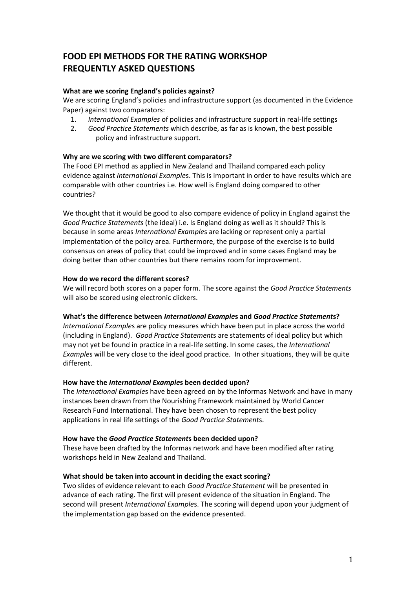# **FOOD EPI METHODS FOR THE RATING WORKSHOP FREQUENTLY ASKED QUESTIONS**

## **What are we scoring England's policies against?**

We are scoring England's policies and infrastructure support (as documented in the Evidence Paper) against two comparators:

- 1. *International Examples* of policies and infrastructure support in real-life settings
- 2. *Good Practice Statements* which describe, as far as is known, the best possible policy and infrastructure support.

### **Why are we scoring with two different comparators?**

The Food EPI method as applied in New Zealand and Thailand compared each policy evidence against *International Example*s. This is important in order to have results which are comparable with other countries i.e. How well is England doing compared to other countries?

We thought that it would be good to also compare evidence of policy in England against the *Good Practice Statements* (the ideal) i.e. Is England doing as well as it should? This is because in some areas *International Example*s are lacking or represent only a partial implementation of the policy area. Furthermore, the purpose of the exercise is to build consensus on areas of policy that could be improved and in some cases England may be doing better than other countries but there remains room for improvement.

#### **How do we record the different scores?**

We will record both scores on a paper form. The score against the *Good Practice Statements* will also be scored using electronic clickers.

#### **What's the difference between** *International Example***s and** *Good Practice Statement***s?**

*International Example*s are policy measures which have been put in place across the world (including in England). *Good Practice Statement*s are statements of ideal policy but which may not yet be found in practice in a real-life setting. In some cases, the *International Example*s will be very close to the ideal good practice. In other situations, they will be quite different.

#### **How have the** *International Example***s been decided upon?**

The *International Example*s have been agreed on by the Informas Network and have in many instances been drawn from the Nourishing Framework maintained by World Cancer Research Fund International. They have been chosen to represent the best policy applications in real life settings of the *Good Practice Statement*s.

#### **How have the** *Good Practice Statement***s been decided upon?**

These have been drafted by the Informas network and have been modified after rating workshops held in New Zealand and Thailand.

#### **What should be taken into account in deciding the exact scoring?**

Two slides of evidence relevant to each *Good Practice Statement* will be presented in advance of each rating. The first will present evidence of the situation in England. The second will present *International Example*s. The scoring will depend upon your judgment of the implementation gap based on the evidence presented.